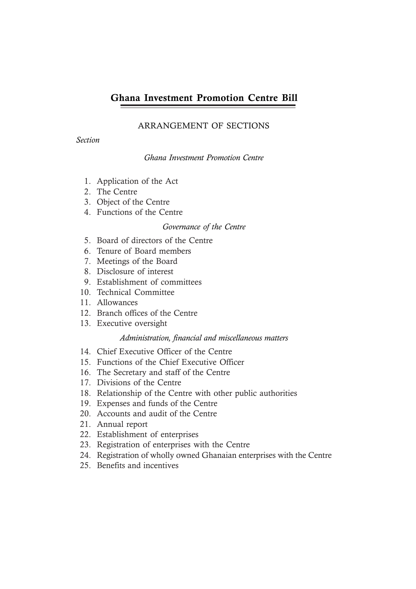## ARRANGEMENT OF SECTIONS

*Section*

## *Ghana Investment Promotion Centre*

- 1. Application of the Act
- 2. The Centre
- 3. Object of the Centre
- 4. Functions of the Centre

## *Governance of the Centre*

- 5. Board of directors of the Centre
- 6. Tenure of Board members
- 7. Meetings of the Board
- 8. Disclosure of interest
- 9. Establishment of committees
- 10. Technical Committee
- 11. Allowances
- 12. Branch offices of the Centre
- 13. Executive oversight

## *Administration, financial and miscellaneous matters*

- 14. Chief Executive Officer of the Centre
- 15. Functions of the Chief Executive Officer
- 16. The Secretary and staff of the Centre
- 17. Divisions of the Centre
- 18. Relationship of the Centre with other public authorities
- 19. Expenses and funds of the Centre
- 20. Accounts and audit of the Centre
- 21. Annual report
- 22. Establishment of enterprises
- 23. Registration of enterprises with the Centre
- 24. Registration of wholly owned Ghanaian enterprises with the Centre
- 25. Benefits and incentives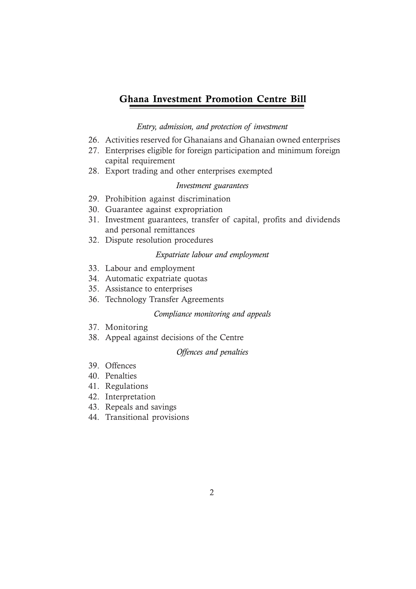## *Entry, admission, and protection of investment*

- 26. Activities reserved for Ghanaians and Ghanaian owned enterprises
- 27. Enterprises eligible for foreign participation and minimum foreign capital requirement
- 28. Export trading and other enterprises exempted

## *Investment guarantees*

- 29. Prohibition against discrimination
- 30. Guarantee against expropriation
- 31. Investment guarantees, transfer of capital, profits and dividends and personal remittances
- 32. Dispute resolution procedures

#### *Expatriate labour and employment*

- 33. Labour and employment
- 34. Automatic expatriate quotas
- 35. Assistance to enterprises
- 36. Technology Transfer Agreements

#### *Compliance monitoring and appeals*

- 37. Monitoring
- 38. Appeal against decisions of the Centre

## *Offences and penalties*

- 39. Offences
- 40. Penalties
- 41. Regulations
- 42. Interpretation
- 43. Repeals and savings
- 44. Transitional provisions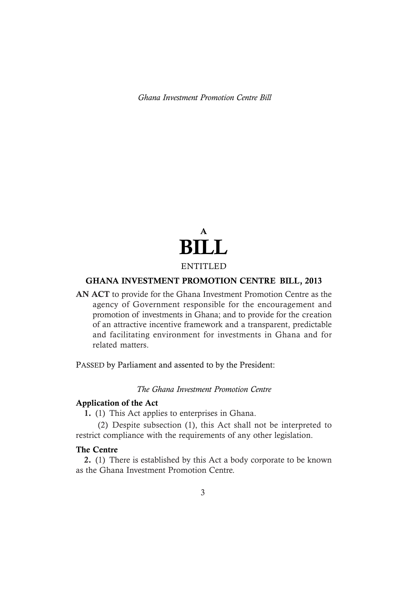

## GHANA INVESTMENT PROMOTION CENTRE BILL, 2013

AN ACT to provide for the Ghana Investment Promotion Centre as the agency of Government responsible for the encouragement and promotion of investments in Ghana; and to provide for the creation of an attractive incentive framework and a transparent, predictable and facilitating environment for investments in Ghana and for related matters.

PASSED by Parliament and assented to by the President:

### *The Ghana Investment Promotion Centre*

#### Application of the Act

1. (1) This Act applies to enterprises in Ghana.

 (2) Despite subsection (1), this Act shall not be interpreted to restrict compliance with the requirements of any other legislation.

#### The Centre

2. (1) There is established by this Act a body corporate to be known as the Ghana Investment Promotion Centre.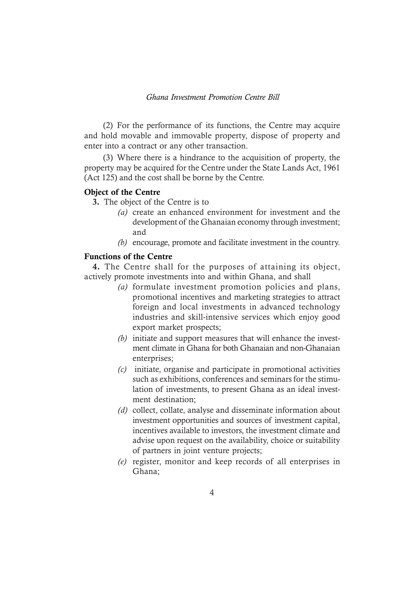(2) For the performance of its functions, the Centre may acquire and hold movable and immovable property, dispose of property and enter into a contract or any other transaction.

(3) Where there is a hindrance to the acquisition of property, the property may be acquired for the Centre under the State Lands Act, 1961 (Act 125) and the cost shall be borne by the Centre.

#### Object of the Centre

3. The object of the Centre is to

- *(a)* create an enhanced environment for investment and the development of the Ghanaian economy through investment; and
- *(b)* encourage, promote and facilitate investment in the country.

## Functions of the Centre

4. The Centre shall for the purposes of attaining its object, actively promote investments into and within Ghana, and shall

- *(a)* formulate investment promotion policies and plans, promotional incentives and marketing strategies to attract foreign and local investments in advanced technology industries and skill-intensive services which enjoy good export market prospects;
- *(b)* initiate and support measures that will enhance the investment climate in Ghana for both Ghanaian and non-Ghanaian enterprises;
- *(c)* initiate, organise and participate in promotional activities such as exhibitions, conferences and seminars for the stimulation of investments, to present Ghana as an ideal investment destination;
- *(d)* collect, collate, analyse and disseminate information about investment opportunities and sources of investment capital, incentives available to investors, the investment climate and advise upon request on the availability, choice or suitability of partners in joint venture projects;
- *(e)* register, monitor and keep records of all enterprises in Ghana;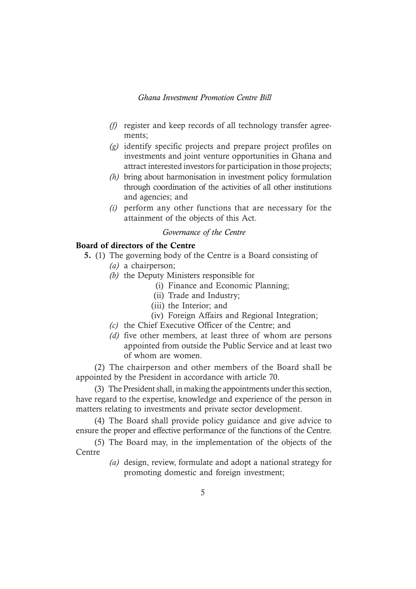- *(f)* register and keep records of all technology transfer agreements;
- *(g)* identify specific projects and prepare project profiles on investments and joint venture opportunities in Ghana and attract interested investors for participation in those projects;
- *(h)* bring about harmonisation in investment policy formulation through coordination of the activities of all other institutions and agencies; and
- *(i)* perform any other functions that are necessary for the attainment of the objects of this Act.

#### *Governance of the Centre*

## Board of directors of the Centre

- 5. (1) The governing body of the Centre is a Board consisting of *(a)* a chairperson;
	- *(b)* the Deputy Ministers responsible for
		- (i) Finance and Economic Planning;
		- (ii) Trade and Industry;
		- (iii) the Interior; and
		- (iv) Foreign Affairs and Regional Integration;
	- *(c)* the Chief Executive Officer of the Centre; and
	- *(d)* five other members, at least three of whom are persons appointed from outside the Public Service and at least two of whom are women.

(2) The chairperson and other members of the Board shall be appointed by the President in accordance with article 70.

(3) The President shall, in making the appointments under this section, have regard to the expertise, knowledge and experience of the person in matters relating to investments and private sector development.

(4) The Board shall provide policy guidance and give advice to ensure the proper and effective performance of the functions of the Centre.

(5) The Board may, in the implementation of the objects of the Centre

> *(a)* design, review, formulate and adopt a national strategy for promoting domestic and foreign investment;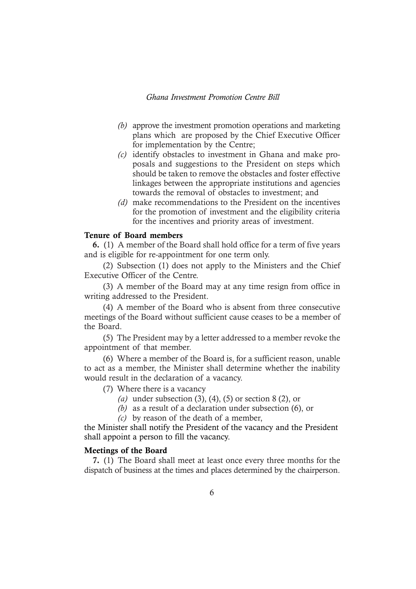- *(b)* approve the investment promotion operations and marketing plans which are proposed by the Chief Executive Officer for implementation by the Centre;
- *(c)* identify obstacles to investment in Ghana and make proposals and suggestions to the President on steps which should be taken to remove the obstacles and foster effective linkages between the appropriate institutions and agencies towards the removal of obstacles to investment; and
- *(d)* make recommendations to the President on the incentives for the promotion of investment and the eligibility criteria for the incentives and priority areas of investment.

#### Tenure of Board members

6. (1) A member of the Board shall hold office for a term of five years and is eligible for re-appointment for one term only.

(2) Subsection (1) does not apply to the Ministers and the Chief Executive Officer of the Centre.

(3) A member of the Board may at any time resign from office in writing addressed to the President.

(4) A member of the Board who is absent from three consecutive meetings of the Board without sufficient cause ceases to be a member of the Board.

(5) The President may by a letter addressed to a member revoke the appointment of that member.

(6) Where a member of the Board is, for a sufficient reason, unable to act as a member, the Minister shall determine whether the inability would result in the declaration of a vacancy.

(7) Where there is a vacancy

- *(a)* under subsection (3), (4), (5) or section 8 (2), or
- *(b)* as a result of a declaration under subsection (6), or
- *(c)* by reason of the death of a member,

the Minister shall notify the President of the vacancy and the President shall appoint a person to fill the vacancy.

#### Meetings of the Board

7. (1) The Board shall meet at least once every three months for the dispatch of business at the times and places determined by the chairperson.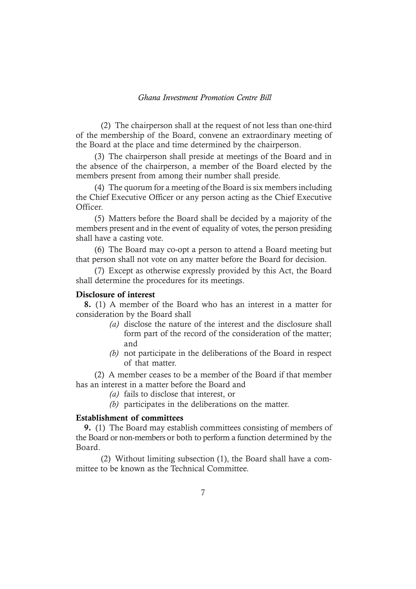(2) The chairperson shall at the request of not less than one-third of the membership of the Board, convene an extraordinary meeting of the Board at the place and time determined by the chairperson.

(3) The chairperson shall preside at meetings of the Board and in the absence of the chairperson, a member of the Board elected by the members present from among their number shall preside.

(4) The quorum for a meeting of the Board is six members including the Chief Executive Officer or any person acting as the Chief Executive Officer.

(5) Matters before the Board shall be decided by a majority of the members present and in the event of equality of votes, the person presiding shall have a casting vote.

(6) The Board may co-opt a person to attend a Board meeting but that person shall not vote on any matter before the Board for decision.

(7) Except as otherwise expressly provided by this Act, the Board shall determine the procedures for its meetings.

## Disclosure of interest

8. (1) A member of the Board who has an interest in a matter for consideration by the Board shall

- *(a)* disclose the nature of the interest and the disclosure shall form part of the record of the consideration of the matter; and
- *(b)* not participate in the deliberations of the Board in respect of that matter.

(2) A member ceases to be a member of the Board if that member has an interest in a matter before the Board and

- *(a)* fails to disclose that interest, or
- *(b)* participates in the deliberations on the matter.

#### Establishment of committees

9. (1) The Board may establish committees consisting of members of the Board or non-members or both to perform a function determined by the Board.

(2) Without limiting subsection (1), the Board shall have a committee to be known as the Technical Committee.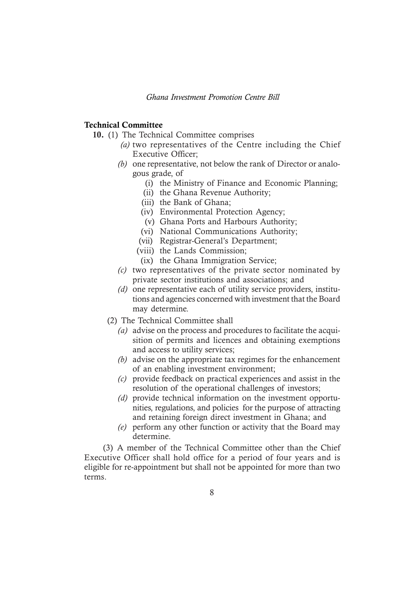#### Technical Committee

- 10. (1) The Technical Committee comprises
	- *(a)* two representatives of the Centre including the Chief Executive Officer;
	- *(b)* one representative, not below the rank of Director or analogous grade, of
		- (i) the Ministry of Finance and Economic Planning;
		- (ii) the Ghana Revenue Authority;
		- (iii) the Bank of Ghana;
		- (iv) Environmental Protection Agency;
		- (v) Ghana Ports and Harbours Authority;
		- (vi) National Communications Authority;
		- (vii) Registrar-General's Department;
		- (viii) the Lands Commission;
		- (ix) the Ghana Immigration Service;
	- *(c)* two representatives of the private sector nominated by private sector institutions and associations; and
	- *(d)* one representative each of utility service providers, institutions and agencies concerned with investment that the Board may determine.
	- (2) The Technical Committee shall
		- *(a)* advise on the process and procedures to facilitate the acquisition of permits and licences and obtaining exemptions and access to utility services;
		- *(b)* advise on the appropriate tax regimes for the enhancement of an enabling investment environment;
		- *(c)* provide feedback on practical experiences and assist in the resolution of the operational challenges of investors;
		- *(d)* provide technical information on the investment opportunities, regulations, and policies for the purpose of attracting and retaining foreign direct investment in Ghana; and
		- *(e)* perform any other function or activity that the Board may determine.

(3) A member of the Technical Committee other than the Chief Executive Officer shall hold office for a period of four years and is eligible for re-appointment but shall not be appointed for more than two terms.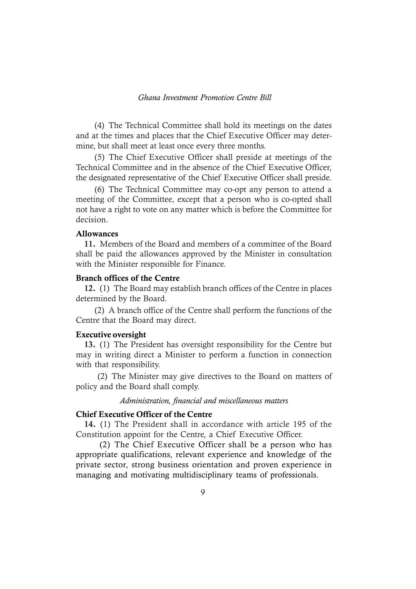(4) The Technical Committee shall hold its meetings on the dates and at the times and places that the Chief Executive Officer may determine, but shall meet at least once every three months.

(5) The Chief Executive Officer shall preside at meetings of the Technical Committee and in the absence of the Chief Executive Officer, the designated representative of the Chief Executive Officer shall preside.

(6) The Technical Committee may co-opt any person to attend a meeting of the Committee, except that a person who is co-opted shall not have a right to vote on any matter which is before the Committee for decision.

#### Allowances

11. Members of the Board and members of a committee of the Board shall be paid the allowances approved by the Minister in consultation with the Minister responsible for Finance.

#### Branch offices of the Centre

12. (1) The Board may establish branch offices of the Centre in places determined by the Board.

(2) A branch office of the Centre shall perform the functions of the Centre that the Board may direct.

#### Executive oversight

13. (1) The President has oversight responsibility for the Centre but may in writing direct a Minister to perform a function in connection with that responsibility.

 (2) The Minister may give directives to the Board on matters of policy and the Board shall comply.

#### *Administration, financial and miscellaneous matters*

#### Chief Executive Officer of the Centre

14. (1) The President shall in accordance with article 195 of the Constitution appoint for the Centre, a Chief Executive Officer.

(2) The Chief Executive Officer shall be a person who has appropriate qualifications, relevant experience and knowledge of the private sector, strong business orientation and proven experience in managing and motivating multidisciplinary teams of professionals.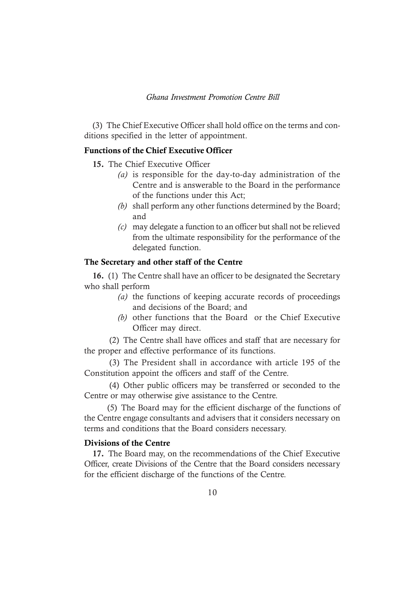(3) The Chief Executive Officer shall hold office on the terms and conditions specified in the letter of appointment.

## Functions of the Chief Executive Officer

- 15. The Chief Executive Officer
	- *(a)* is responsible for the day-to-day administration of the Centre and is answerable to the Board in the performance of the functions under this Act;
	- *(b)* shall perform any other functions determined by the Board; and
	- *(c)* may delegate a function to an officer but shall not be relieved from the ultimate responsibility for the performance of the delegated function.

### The Secretary and other staff of the Centre

16. (1) The Centre shall have an officer to be designated the Secretary who shall perform

- *(a)* the functions of keeping accurate records of proceedings and decisions of the Board; and
- *(b)* other functions that the Board or the Chief Executive Officer may direct.

(2) The Centre shall have offices and staff that are necessary for the proper and effective performance of its functions.

(3) The President shall in accordance with article 195 of the Constitution appoint the officers and staff of the Centre.

(4) Other public officers may be transferred or seconded to the Centre or may otherwise give assistance to the Centre.

(5) The Board may for the efficient discharge of the functions of the Centre engage consultants and advisers that it considers necessary on terms and conditions that the Board considers necessary.

## Divisions of the Centre

17. The Board may, on the recommendations of the Chief Executive Officer, create Divisions of the Centre that the Board considers necessary for the efficient discharge of the functions of the Centre.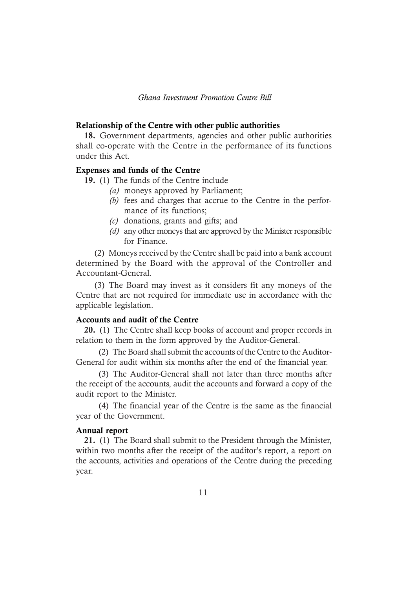#### Relationship of the Centre with other public authorities

18. Government departments, agencies and other public authorities shall co-operate with the Centre in the performance of its functions under this Act.

#### Expenses and funds of the Centre

19. (1) The funds of the Centre include

- *(a)* moneys approved by Parliament;
- *(b)* fees and charges that accrue to the Centre in the performance of its functions;
- *(c)* donations, grants and gifts; and
- *(d)* any other moneys that are approved by the Minister responsible for Finance.

(2) Moneys received by the Centre shall be paid into a bank account determined by the Board with the approval of the Controller and Accountant-General.

(3) The Board may invest as it considers fit any moneys of the Centre that are not required for immediate use in accordance with the applicable legislation.

## Accounts and audit of the Centre

20. (1) The Centre shall keep books of account and proper records in relation to them in the form approved by the Auditor-General.

(2) The Board shall submit the accounts of the Centre to the Auditor-General for audit within six months after the end of the financial year.

(3) The Auditor-General shall not later than three months after the receipt of the accounts, audit the accounts and forward a copy of the audit report to the Minister.

(4) The financial year of the Centre is the same as the financial year of the Government.

#### Annual report

21. (1) The Board shall submit to the President through the Minister, within two months after the receipt of the auditor's report, a report on the accounts, activities and operations of the Centre during the preceding year.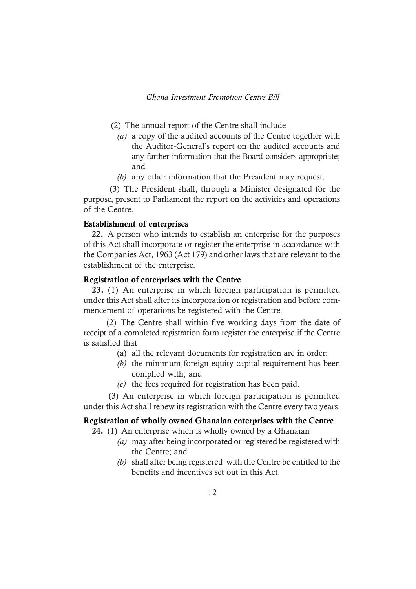- (2) The annual report of the Centre shall include
	- *(a)* a copy of the audited accounts of the Centre together with the Auditor-General's report on the audited accounts and any further information that the Board considers appropriate; and
	- *(b)* any other information that the President may request.

 (3) The President shall, through a Minister designated for the purpose, present to Parliament the report on the activities and operations of the Centre.

#### Establishment of enterprises

22. A person who intends to establish an enterprise for the purposes of this Act shall incorporate or register the enterprise in accordance with the Companies Act, 1963 (Act 179) and other laws that are relevant to the establishment of the enterprise.

## Registration of enterprises with the Centre

23. (1) An enterprise in which foreign participation is permitted under this Act shall after its incorporation or registration and before commencement of operations be registered with the Centre.

(2) The Centre shall within five working days from the date of receipt of a completed registration form register the enterprise if the Centre is satisfied that

- (a) all the relevant documents for registration are in order;
- *(b)* the minimum foreign equity capital requirement has been complied with; and
- *(c)* the fees required for registration has been paid.

(3) An enterprise in which foreign participation is permitted under this Act shall renew its registration with the Centre every two years.

#### Registration of wholly owned Ghanaian enterprises with the Centre

24. (1) An enterprise which is wholly owned by a Ghanaian

- *(a)* may after being incorporated or registered be registered with the Centre; and
- *(b)* shall after being registered with the Centre be entitled to the benefits and incentives set out in this Act.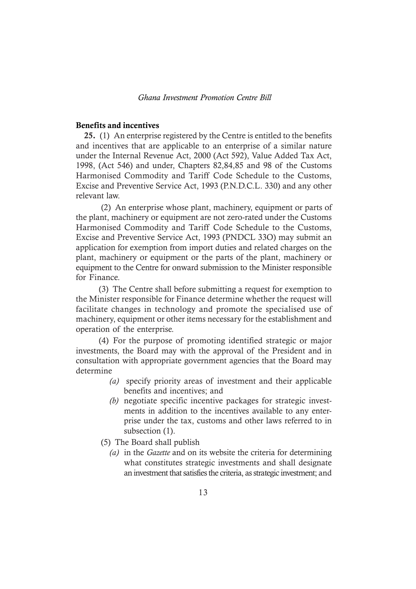#### Benefits and incentives

25. (1) An enterprise registered by the Centre is entitled to the benefits and incentives that are applicable to an enterprise of a similar nature under the Internal Revenue Act, 2000 (Act 592), Value Added Tax Act, 1998, (Act 546) and under, Chapters 82,84,85 and 98 of the Customs Harmonised Commodity and Tariff Code Schedule to the Customs, Excise and Preventive Service Act, 1993 (P.N.D.C.L. 330) and any other relevant law.

 (2) An enterprise whose plant, machinery, equipment or parts of the plant, machinery or equipment are not zero-rated under the Customs Harmonised Commodity and Tariff Code Schedule to the Customs, Excise and Preventive Service Act, 1993 (PNDCL 33O) may submit an application for exemption from import duties and related charges on the plant, machinery or equipment or the parts of the plant, machinery or equipment to the Centre for onward submission to the Minister responsible for Finance.

(3) The Centre shall before submitting a request for exemption to the Minister responsible for Finance determine whether the request will facilitate changes in technology and promote the specialised use of machinery, equipment or other items necessary for the establishment and operation of the enterprise.

(4) For the purpose of promoting identified strategic or major investments, the Board may with the approval of the President and in consultation with appropriate government agencies that the Board may determine

- *(a)* specify priority areas of investment and their applicable benefits and incentives; and
- *(b)* negotiate specific incentive packages for strategic investments in addition to the incentives available to any enterprise under the tax, customs and other laws referred to in subsection (1).

(5) The Board shall publish

*(a)* in the *Gazette* and on its website the criteria for determining what constitutes strategic investments and shall designate an investment that satisfies the criteria, as strategic investment; and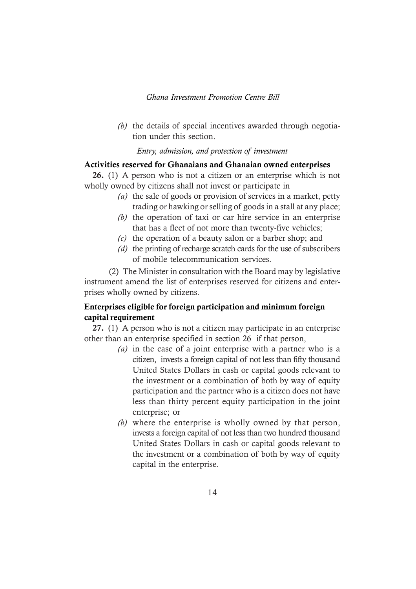*(b)* the details of special incentives awarded through negotiation under this section.

#### *Entry, admission, and protection of investment*

## Activities reserved for Ghanaians and Ghanaian owned enterprises

26. (1) A person who is not a citizen or an enterprise which is not wholly owned by citizens shall not invest or participate in

- *(a)* the sale of goods or provision of services in a market, petty trading or hawking or selling of goods in a stall at any place;
- *(b)* the operation of taxi or car hire service in an enterprise that has a fleet of not more than twenty-five vehicles;
- *(c)* the operation of a beauty salon or a barber shop; and
- *(d)* the printing of recharge scratch cards for the use of subscribers of mobile telecommunication services.

 (2) The Minister in consultation with the Board may by legislative instrument amend the list of enterprises reserved for citizens and enterprises wholly owned by citizens.

## Enterprises eligible for foreign participation and minimum foreign capital requirement

27. (1) A person who is not a citizen may participate in an enterprise other than an enterprise specified in section 26 if that person,

- *(a)* in the case of a joint enterprise with a partner who is a citizen, invests a foreign capital of not less than fifty thousand United States Dollars in cash or capital goods relevant to the investment or a combination of both by way of equity participation and the partner who is a citizen does not have less than thirty percent equity participation in the joint enterprise; or
- *(b)* where the enterprise is wholly owned by that person, invests a foreign capital of not less than two hundred thousand United States Dollars in cash or capital goods relevant to the investment or a combination of both by way of equity capital in the enterprise.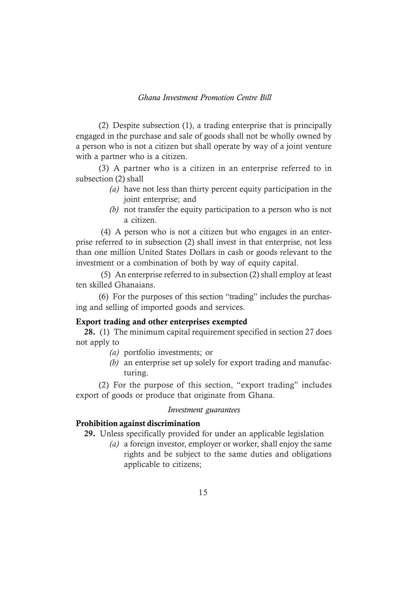(2) Despite subsection (1), a trading enterprise that is principally engaged in the purchase and sale of goods shall not be wholly owned by a person who is not a citizen but shall operate by way of a joint venture with a partner who is a citizen.

(3) A partner who is a citizen in an enterprise referred to in subsection (2) shall

- *(a)* have not less than thirty percent equity participation in the joint enterprise; and
- *(b)* not transfer the equity participation to a person who is not a citizen.

(4) A person who is not a citizen but who engages in an enterprise referred to in subsection (2) shall invest in that enterprise, not less than one million United States Dollars in cash or goods relevant to the investment or a combination of both by way of equity capital.

(5) An enterprise referred to in subsection (2) shall employ at least ten skilled Ghanaians.

(6) For the purposes of this section "trading" includes the purchasing and selling of imported goods and services.

## Export trading and other enterprises exempted

28. (1) The minimum capital requirement specified in section 27 does not apply to

- *(a)* portfolio investments; or
- *(b)* an enterprise set up solely for export trading and manufacturing.

(2) For the purpose of this section, "export trading" includes export of goods or produce that originate from Ghana.

#### *Investment guarantees*

#### Prohibition against discrimination

29. Unless specifically provided for under an applicable legislation

*(a)* a foreign investor, employer or worker, shall enjoy the same rights and be subject to the same duties and obligations applicable to citizens;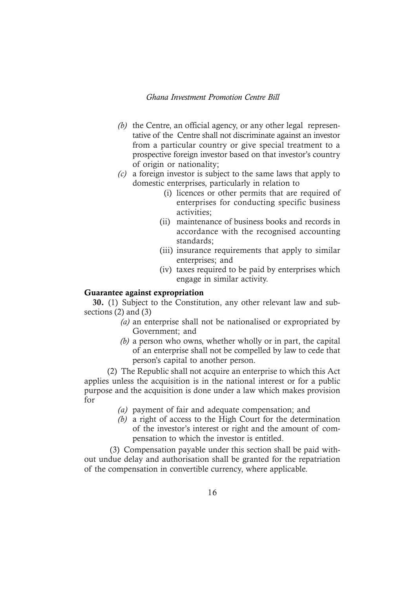- *(b)* the Centre, an official agency, or any other legal representative of the Centre shall not discriminate against an investor from a particular country or give special treatment to a prospective foreign investor based on that investor's country of origin or nationality;
- *(c)* a foreign investor is subject to the same laws that apply to domestic enterprises, particularly in relation to
	- (i) licences or other permits that are required of enterprises for conducting specific business activities;
	- (ii) maintenance of business books and records in accordance with the recognised accounting standards;
	- (iii) insurance requirements that apply to similar enterprises; and
	- (iv) taxes required to be paid by enterprises which engage in similar activity.

## Guarantee against expropriation

30. (1) Subject to the Constitution, any other relevant law and subsections (2) and (3)

- *(a)* an enterprise shall not be nationalised or expropriated by Government; and
- *(b)* a person who owns, whether wholly or in part, the capital of an enterprise shall not be compelled by law to cede that person's capital to another person.

(2) The Republic shall not acquire an enterprise to which this Act applies unless the acquisition is in the national interest or for a public purpose and the acquisition is done under a law which makes provision for

- *(a)* payment of fair and adequate compensation; and
- *(b)* a right of access to the High Court for the determination of the investor's interest or right and the amount of compensation to which the investor is entitled.

 (3) Compensation payable under this section shall be paid without undue delay and authorisation shall be granted for the repatriation of the compensation in convertible currency, where applicable.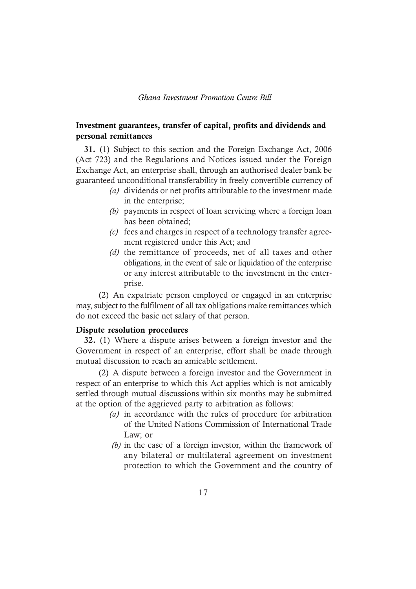## Investment guarantees, transfer of capital, profits and dividends and personal remittances

31. (1) Subject to this section and the Foreign Exchange Act, 2006 (Act 723) and the Regulations and Notices issued under the Foreign Exchange Act, an enterprise shall, through an authorised dealer bank be guaranteed unconditional transferability in freely convertible currency of

- *(a)* dividends or net profits attributable to the investment made in the enterprise;
- *(b)* payments in respect of loan servicing where a foreign loan has been obtained;
- *(c)* fees and charges in respect of a technology transfer agreement registered under this Act; and
- *(d)* the remittance of proceeds, net of all taxes and other obligations, in the event of sale or liquidation of the enterprise or any interest attributable to the investment in the enterprise.

(2) An expatriate person employed or engaged in an enterprise may, subject to the fulfilment of all tax obligations make remittances which do not exceed the basic net salary of that person.

#### Dispute resolution procedures

32. (1) Where a dispute arises between a foreign investor and the Government in respect of an enterprise, effort shall be made through mutual discussion to reach an amicable settlement.

(2) A dispute between a foreign investor and the Government in respect of an enterprise to which this Act applies which is not amicably settled through mutual discussions within six months may be submitted at the option of the aggrieved party to arbitration as follows:

- *(a)* in accordance with the rules of procedure for arbitration of the United Nations Commission of International Trade Law; or
- *(b)* in the case of a foreign investor, within the framework of any bilateral or multilateral agreement on investment protection to which the Government and the country of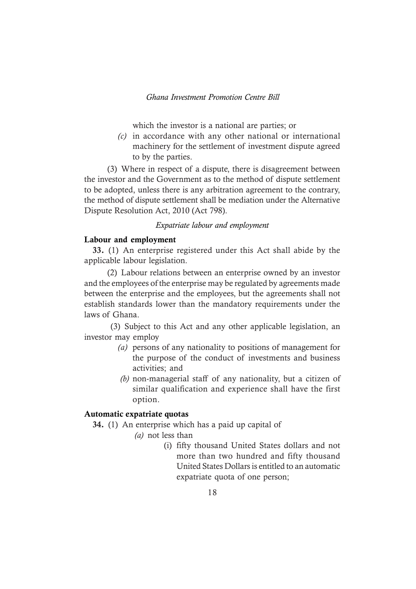which the investor is a national are parties; or

*(c)* in accordance with any other national or international machinery for the settlement of investment dispute agreed to by the parties.

(3) Where in respect of a dispute, there is disagreement between the investor and the Government as to the method of dispute settlement to be adopted, unless there is any arbitration agreement to the contrary, the method of dispute settlement shall be mediation under the Alternative Dispute Resolution Act, 2010 (Act 798).

## *Expatriate labour and employment*

#### Labour and employment

33. (1) An enterprise registered under this Act shall abide by the applicable labour legislation.

(2) Labour relations between an enterprise owned by an investor and the employees of the enterprise may be regulated by agreements made between the enterprise and the employees, but the agreements shall not establish standards lower than the mandatory requirements under the laws of Ghana.

 (3) Subject to this Act and any other applicable legislation, an investor may employ

- *(a)* persons of any nationality to positions of management for the purpose of the conduct of investments and business activities; and
- *(b)* non-managerial staff of any nationality, but a citizen of similar qualification and experience shall have the first option.

#### Automatic expatriate quotas

34. (1) An enterprise which has a paid up capital of

*(a)* not less than

 (i) fifty thousand United States dollars and not more than two hundred and fifty thousand United States Dollars is entitled to an automatic expatriate quota of one person;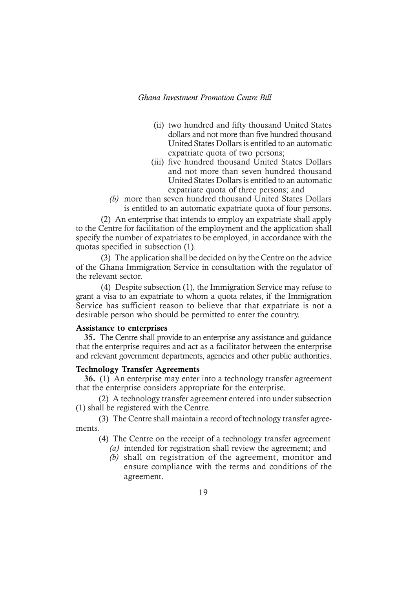- (ii) two hundred and fifty thousand United States dollars and not more than five hundred thousand United States Dollars is entitled to an automatic expatriate quota of two persons;
- (iii) five hundred thousand United States Dollars and not more than seven hundred thousand United States Dollars is entitled to an automatic expatriate quota of three persons; and
- *(b)* more than seven hundred thousand United States Dollars is entitled to an automatic expatriate quota of four persons.

(2) An enterprise that intends to employ an expatriate shall apply to the Centre for facilitation of the employment and the application shall specify the number of expatriates to be employed, in accordance with the quotas specified in subsection (1).

(3) The application shall be decided on by the Centre on the advice of the Ghana Immigration Service in consultation with the regulator of the relevant sector.

(4) Despite subsection (1), the Immigration Service may refuse to grant a visa to an expatriate to whom a quota relates, if the Immigration Service has sufficient reason to believe that that expatriate is not a desirable person who should be permitted to enter the country.

#### Assistance to enterprises

35. The Centre shall provide to an enterprise any assistance and guidance that the enterprise requires and act as a facilitator between the enterprise and relevant government departments, agencies and other public authorities.

#### Technology Transfer Agreements

36. (1) An enterprise may enter into a technology transfer agreement that the enterprise considers appropriate for the enterprise.

(2) A technology transfer agreement entered into under subsection (1) shall be registered with the Centre.

(3) The Centre shall maintain a record of technology transfer agreements.

- (4) The Centre on the receipt of a technology transfer agreement *(a)* intended for registration shall review the agreement; and
	- *(b)* shall on registration of the agreement, monitor and ensure compliance with the terms and conditions of the agreement.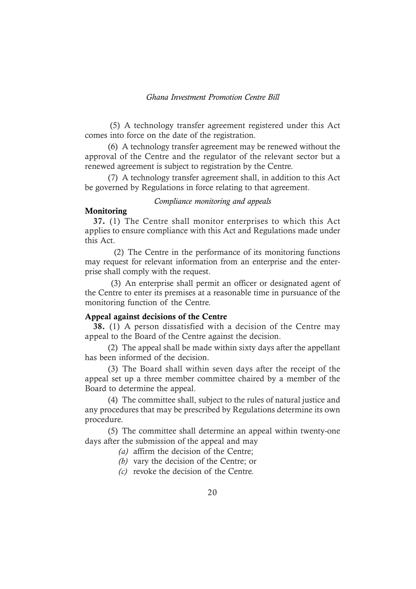(5) A technology transfer agreement registered under this Act comes into force on the date of the registration.

(6) A technology transfer agreement may be renewed without the approval of the Centre and the regulator of the relevant sector but a renewed agreement is subject to registration by the Centre.

(7) A technology transfer agreement shall, in addition to this Act be governed by Regulations in force relating to that agreement.

#### *Compliance monitoring and appeals*

## Monitoring

37. (1) The Centre shall monitor enterprises to which this Act applies to ensure compliance with this Act and Regulations made under this Act.

 (2) The Centre in the performance of its monitoring functions may request for relevant information from an enterprise and the enterprise shall comply with the request.

 (3) An enterprise shall permit an officer or designated agent of the Centre to enter its premises at a reasonable time in pursuance of the monitoring function of the Centre.

### Appeal against decisions of the Centre

38. (1) A person dissatisfied with a decision of the Centre may appeal to the Board of the Centre against the decision.

(2) The appeal shall be made within sixty days after the appellant has been informed of the decision.

(3) The Board shall within seven days after the receipt of the appeal set up a three member committee chaired by a member of the Board to determine the appeal.

(4) The committee shall, subject to the rules of natural justice and any procedures that may be prescribed by Regulations determine its own procedure.

(5) The committee shall determine an appeal within twenty-one days after the submission of the appeal and may

*(a)* affirm the decision of the Centre;

*(b)* vary the decision of the Centre; or

*(c)* revoke the decision of the Centre.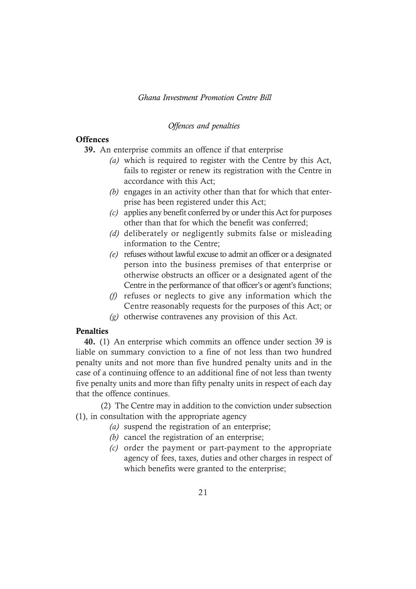## *Offences and penalties*

## **Offences**

- 39. An enterprise commits an offence if that enterprise
	- *(a)* which is required to register with the Centre by this Act, fails to register or renew its registration with the Centre in accordance with this Act;
	- *(b)* engages in an activity other than that for which that enterprise has been registered under this Act;
	- *(c)* applies any benefit conferred by or under this Act for purposes other than that for which the benefit was conferred;
	- *(d)* deliberately or negligently submits false or misleading information to the Centre;
	- *(e)* refuses without lawful excuse to admit an officer or a designated person into the business premises of that enterprise or otherwise obstructs an officer or a designated agent of the Centre in the performance of that officer's or agent's functions;
	- *(f)* refuses or neglects to give any information which the Centre reasonably requests for the purposes of this Act; or
	- *(g)* otherwise contravenes any provision of this Act.

## Penalties

40. (1) An enterprise which commits an offence under section 39 is liable on summary conviction to a fine of not less than two hundred penalty units and not more than five hundred penalty units and in the case of a continuing offence to an additional fine of not less than twenty five penalty units and more than fifty penalty units in respect of each day that the offence continues.

 (2) The Centre may in addition to the conviction under subsection (1), in consultation with the appropriate agency

- *(a)* suspend the registration of an enterprise;
- *(b)* cancel the registration of an enterprise;
- *(c)* order the payment or part-payment to the appropriate agency of fees, taxes, duties and other charges in respect of which benefits were granted to the enterprise;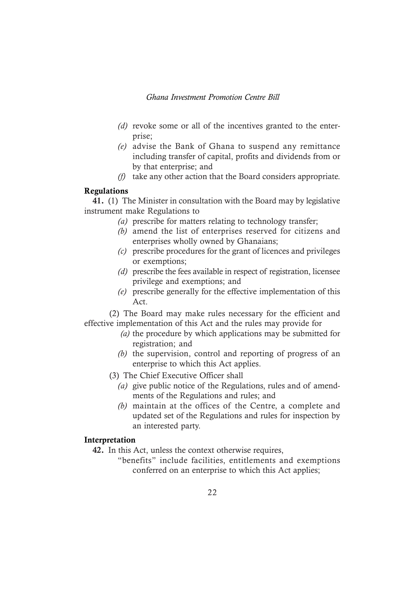- *(d)* revoke some or all of the incentives granted to the enterprise;
- *(e)* advise the Bank of Ghana to suspend any remittance including transfer of capital, profits and dividends from or by that enterprise; and
- *(f)* take any other action that the Board considers appropriate.

#### Regulations

41. (1) The Minister in consultation with the Board may by legislative instrument make Regulations to

- *(a)* prescribe for matters relating to technology transfer;
- *(b)* amend the list of enterprises reserved for citizens and enterprises wholly owned by Ghanaians;
- *(c)* prescribe procedures for the grant of licences and privileges or exemptions;
- *(d)* prescribe the fees available in respect of registration, licensee privilege and exemptions; and
- *(e)* prescribe generally for the effective implementation of this Act.

(2) The Board may make rules necessary for the efficient and effective implementation of this Act and the rules may provide for

- *(a)* the procedure by which applications may be submitted for registration; and
- *(b)* the supervision, control and reporting of progress of an enterprise to which this Act applies.
- (3) The Chief Executive Officer shall
	- *(a)* give public notice of the Regulations, rules and of amendments of the Regulations and rules; and
	- *(b)* maintain at the offices of the Centre, a complete and updated set of the Regulations and rules for inspection by an interested party.

## Interpretation

- 42. In this Act, unless the context otherwise requires,
	- "benefits" include facilities, entitlements and exemptions conferred on an enterprise to which this Act applies;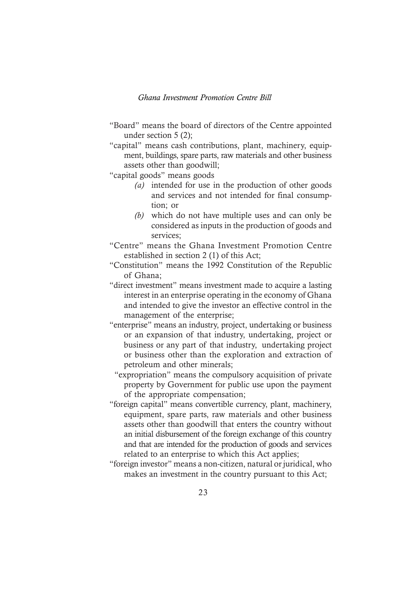- "Board" means the board of directors of the Centre appointed under section 5 (2);
- "capital" means cash contributions, plant, machinery, equipment, buildings, spare parts, raw materials and other business assets other than goodwill;

"capital goods" means goods

- *(a)* intended for use in the production of other goods and services and not intended for final consumption; or
- *(b)* which do not have multiple uses and can only be considered as inputs in the production of goods and services;
- "Centre" means the Ghana Investment Promotion Centre established in section 2 (1) of this Act;
- "Constitution" means the 1992 Constitution of the Republic of Ghana;
- "direct investment" means investment made to acquire a lasting interest in an enterprise operating in the economy of Ghana and intended to give the investor an effective control in the management of the enterprise;
- "enterprise" means an industry, project, undertaking or business or an expansion of that industry, undertaking, project or business or any part of that industry, undertaking project or business other than the exploration and extraction of petroleum and other minerals;
	- "expropriation" means the compulsory acquisition of private property by Government for public use upon the payment of the appropriate compensation;
- "foreign capital" means convertible currency, plant, machinery, equipment, spare parts, raw materials and other business assets other than goodwill that enters the country without an initial disbursement of the foreign exchange of this country and that are intended for the production of goods and services related to an enterprise to which this Act applies;
- "foreign investor" means a non-citizen, natural or juridical, who makes an investment in the country pursuant to this Act;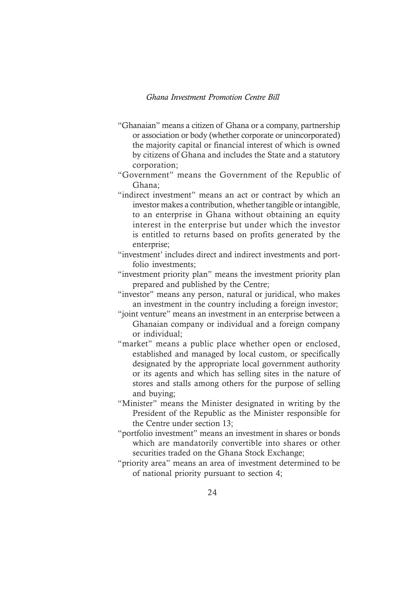- "Ghanaian" means a citizen of Ghana or a company, partnership or association or body (whether corporate or unincorporated) the majority capital or financial interest of which is owned by citizens of Ghana and includes the State and a statutory corporation;
- "Government" means the Government of the Republic of Ghana;
- "indirect investment" means an act or contract by which an investor makes a contribution, whether tangible or intangible, to an enterprise in Ghana without obtaining an equity interest in the enterprise but under which the investor is entitled to returns based on profits generated by the enterprise;
- "investment' includes direct and indirect investments and portfolio investments;
- "investment priority plan" means the investment priority plan prepared and published by the Centre;
- "investor" means any person, natural or juridical, who makes an investment in the country including a foreign investor;
- "joint venture" means an investment in an enterprise between a Ghanaian company or individual and a foreign company or individual;
- "market" means a public place whether open or enclosed, established and managed by local custom, or specifically designated by the appropriate local government authority or its agents and which has selling sites in the nature of stores and stalls among others for the purpose of selling and buying;
- "Minister" means the Minister designated in writing by the President of the Republic as the Minister responsible for the Centre under section 13;
- "portfolio investment" means an investment in shares or bonds which are mandatorily convertible into shares or other securities traded on the Ghana Stock Exchange;
- "priority area" means an area of investment determined to be of national priority pursuant to section 4;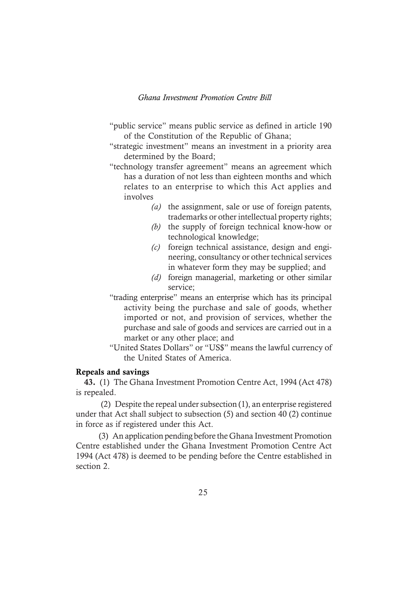- "public service" means public service as defined in article 190 of the Constitution of the Republic of Ghana;
- "strategic investment" means an investment in a priority area determined by the Board;
- "technology transfer agreement" means an agreement which has a duration of not less than eighteen months and which relates to an enterprise to which this Act applies and involves
	- *(a)* the assignment, sale or use of foreign patents, trademarks or other intellectual property rights;
	- *(b)* the supply of foreign technical know-how or technological knowledge;
	- *(c)* foreign technical assistance, design and engineering, consultancy or other technical services in whatever form they may be supplied; and
	- *(d)* foreign managerial, marketing or other similar service;
- "trading enterprise" means an enterprise which has its principal activity being the purchase and sale of goods, whether imported or not, and provision of services, whether the purchase and sale of goods and services are carried out in a market or any other place; and
- "United States Dollars" or "US\$" means the lawful currency of the United States of America.

## Repeals and savings

43. (1) The Ghana Investment Promotion Centre Act, 1994 (Act 478) is repealed.

(2) Despite the repeal under subsection (1), an enterprise registered under that Act shall subject to subsection (5) and section 40 (2) continue in force as if registered under this Act.

(3) An application pending before the Ghana Investment Promotion Centre established under the Ghana Investment Promotion Centre Act 1994 (Act 478) is deemed to be pending before the Centre established in section 2.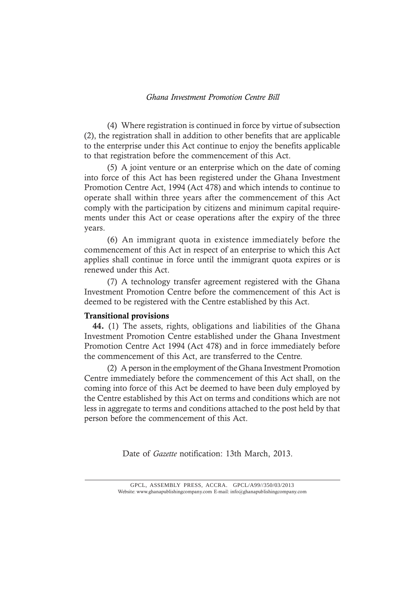(4) Where registration is continued in force by virtue of subsection (2), the registration shall in addition to other benefits that are applicable to the enterprise under this Act continue to enjoy the benefits applicable to that registration before the commencement of this Act.

(5) A joint venture or an enterprise which on the date of coming into force of this Act has been registered under the Ghana Investment Promotion Centre Act, 1994 (Act 478) and which intends to continue to operate shall within three years after the commencement of this Act comply with the participation by citizens and minimum capital requirements under this Act or cease operations after the expiry of the three years.

(6) An immigrant quota in existence immediately before the commencement of this Act in respect of an enterprise to which this Act applies shall continue in force until the immigrant quota expires or is renewed under this Act.

(7) A technology transfer agreement registered with the Ghana Investment Promotion Centre before the commencement of this Act is deemed to be registered with the Centre established by this Act.

#### Transitional provisions

44. (1) The assets, rights, obligations and liabilities of the Ghana Investment Promotion Centre established under the Ghana Investment Promotion Centre Act 1994 (Act 478) and in force immediately before the commencement of this Act, are transferred to the Centre.

(2) A person in the employment of the Ghana Investment Promotion Centre immediately before the commencement of this Act shall, on the coming into force of this Act be deemed to have been duly employed by the Centre established by this Act on terms and conditions which are not less in aggregate to terms and conditions attached to the post held by that person before the commencement of this Act.

Date of *Gazette* notification: 13th March, 2013.

<sup>26</sup> Website: www.ghanapublishingcompany.com E-mail: info@ghanapublishingcompany.com GPCL, ASSEMBLY PRESS, ACCRA. GPCL/A99//350/03/2013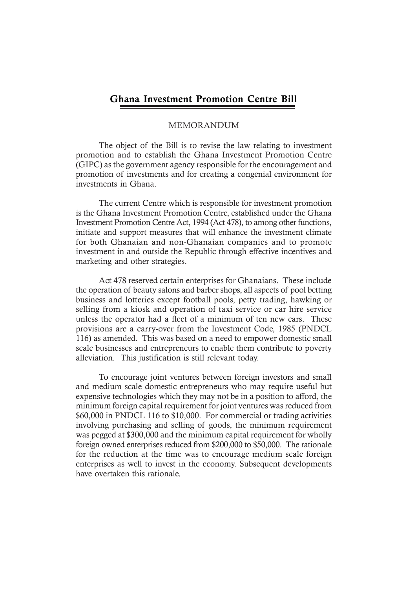#### MEMORANDUM

The object of the Bill is to revise the law relating to investment promotion and to establish the Ghana Investment Promotion Centre (GIPC) as the government agency responsible for the encouragement and promotion of investments and for creating a congenial environment for investments in Ghana.

The current Centre which is responsible for investment promotion is the Ghana Investment Promotion Centre, established under the Ghana Investment Promotion Centre Act, 1994 (Act 478), to among other functions, initiate and support measures that will enhance the investment climate for both Ghanaian and non-Ghanaian companies and to promote investment in and outside the Republic through effective incentives and marketing and other strategies.

Act 478 reserved certain enterprises for Ghanaians. These include the operation of beauty salons and barber shops, all aspects of pool betting business and lotteries except football pools, petty trading, hawking or selling from a kiosk and operation of taxi service or car hire service unless the operator had a fleet of a minimum of ten new cars. These provisions are a carry-over from the Investment Code, 1985 (PNDCL 116) as amended. This was based on a need to empower domestic small scale businesses and entrepreneurs to enable them contribute to poverty alleviation. This justification is still relevant today.

To encourage joint ventures between foreign investors and small and medium scale domestic entrepreneurs who may require useful but expensive technologies which they may not be in a position to afford, the minimum foreign capital requirement for joint ventures was reduced from \$60,000 in PNDCL 116 to \$10,000. For commercial or trading activities involving purchasing and selling of goods, the minimum requirement was pegged at \$300,000 and the minimum capital requirement for wholly foreign owned enterprises reduced from \$200,000 to \$50,000. The rationale for the reduction at the time was to encourage medium scale foreign enterprises as well to invest in the economy. Subsequent developments have overtaken this rationale.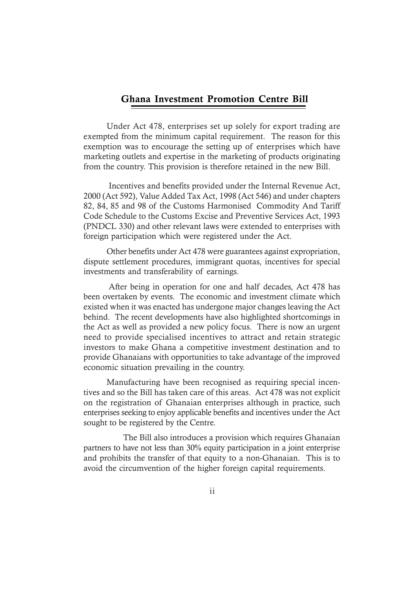Under Act 478, enterprises set up solely for export trading are exempted from the minimum capital requirement. The reason for this exemption was to encourage the setting up of enterprises which have marketing outlets and expertise in the marketing of products originating from the country. This provision is therefore retained in the new Bill.

Incentives and benefits provided under the Internal Revenue Act, 2000 (Act 592), Value Added Tax Act, 1998 (Act 546) and under chapters 82, 84, 85 and 98 of the Customs Harmonised Commodity And Tariff Code Schedule to the Customs Excise and Preventive Services Act, 1993 (PNDCL 330) and other relevant laws were extended to enterprises with foreign participation which were registered under the Act.

Other benefits under Act 478 were guarantees against expropriation, dispute settlement procedures, immigrant quotas, incentives for special investments and transferability of earnings.

After being in operation for one and half decades, Act 478 has been overtaken by events. The economic and investment climate which existed when it was enacted has undergone major changes leaving the Act behind. The recent developments have also highlighted shortcomings in the Act as well as provided a new policy focus. There is now an urgent need to provide specialised incentives to attract and retain strategic investors to make Ghana a competitive investment destination and to provide Ghanaians with opportunities to take advantage of the improved economic situation prevailing in the country.

Manufacturing have been recognised as requiring special incentives and so the Bill has taken care of this areas. Act 478 was not explicit on the registration of Ghanaian enterprises although in practice, such enterprises seeking to enjoy applicable benefits and incentives under the Act sought to be registered by the Centre.

 The Bill also introduces a provision which requires Ghanaian partners to have not less than 30% equity participation in a joint enterprise and prohibits the transfer of that equity to a non-Ghanaian. This is to avoid the circumvention of the higher foreign capital requirements.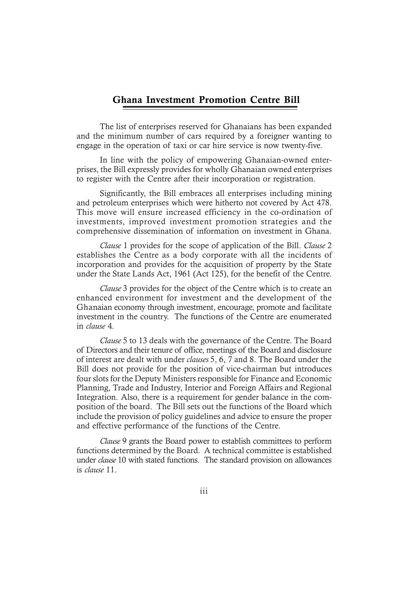The list of enterprises reserved for Ghanaians has been expanded and the minimum number of cars required by a foreigner wanting to engage in the operation of taxi or car hire service is now twenty-five.

In line with the policy of empowering Ghanaian-owned enterprises, the Bill expressly provides for wholly Ghanaian owned enterprises to register with the Centre after their incorporation or registration.

Significantly, the Bill embraces all enterprises including mining and petroleum enterprises which were hitherto not covered by Act 478. This move will ensure increased efficiency in the co-ordination of investments, improved investment promotion strategies and the comprehensive dissemination of information on investment in Ghana.

*Clause* 1 provides for the scope of application of the Bill. *Clause* 2 establishes the Centre as a body corporate with all the incidents of incorporation and provides for the acquisition of property by the State under the State Lands Act, 1961 (Act 125), for the benefit of the Centre.

*Clause* 3 provides for the object of the Centre which is to create an enhanced environment for investment and the development of the Ghanaian economy through investment, encourage, promote and facilitate investment in the country. The functions of the Centre are enumerated in *clause* 4.

*Clause* 5 to 13 deals with the governance of the Centre. The Board of Directors and their tenure of office, meetings of the Board and disclosure of interest are dealt with under *clauses* 5, 6, 7 and 8. The Board under the Bill does not provide for the position of vice-chairman but introduces four slots for the Deputy Ministers responsible for Finance and Economic Planning, Trade and Industry, Interior and Foreign Affairs and Regional Integration. Also, there is a requirement for gender balance in the composition of the board. The Bill sets out the functions of the Board which include the provision of policy guidelines and advice to ensure the proper and effective performance of the functions of the Centre.

*Clause* 9 grants the Board power to establish committees to perform functions determined by the Board. A technical committee is established under *clause* 10 with stated functions. The standard provision on allowances is *clause* 11.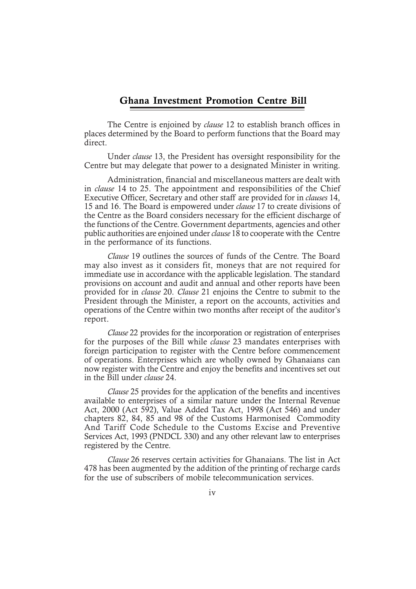The Centre is enjoined by *clause* 12 to establish branch offices in places determined by the Board to perform functions that the Board may direct.

Under *clause* 13, the President has oversight responsibility for the Centre but may delegate that power to a designated Minister in writing.

Administration, financial and miscellaneous matters are dealt with in *clause* 14 to 25. The appointment and responsibilities of the Chief Executive Officer, Secretary and other staff are provided for in *clauses* 14, 15 and 16. The Board is empowered under *clause* 17 to create divisions of the Centre as the Board considers necessary for the efficient discharge of the functions of the Centre. Government departments, agencies and other public authorities are enjoined under *clause* 18 to cooperate with the Centre in the performance of its functions.

*Clause* 19 outlines the sources of funds of the Centre. The Board may also invest as it considers fit, moneys that are not required for immediate use in accordance with the applicable legislation. The standard provisions on account and audit and annual and other reports have been provided for in *clause* 20. *Clause* 21 enjoins the Centre to submit to the President through the Minister, a report on the accounts, activities and operations of the Centre within two months after receipt of the auditor's report.

*Clause* 22 provides for the incorporation or registration of enterprises for the purposes of the Bill while *clause* 23 mandates enterprises with foreign participation to register with the Centre before commencement of operations. Enterprises which are wholly owned by Ghanaians can now register with the Centre and enjoy the benefits and incentives set out in the Bill under *clause* 24.

*Clause* 25 provides for the application of the benefits and incentives available to enterprises of a similar nature under the Internal Revenue Act, 2000 (Act 592), Value Added Tax Act, 1998 (Act 546) and under chapters 82, 84, 85 and 98 of the Customs Harmonised Commodity And Tariff Code Schedule to the Customs Excise and Preventive Services Act, 1993 (PNDCL 330) and any other relevant law to enterprises registered by the Centre.

*Clause* 26 reserves certain activities for Ghanaians. The list in Act 478 has been augmented by the addition of the printing of recharge cards for the use of subscribers of mobile telecommunication services.